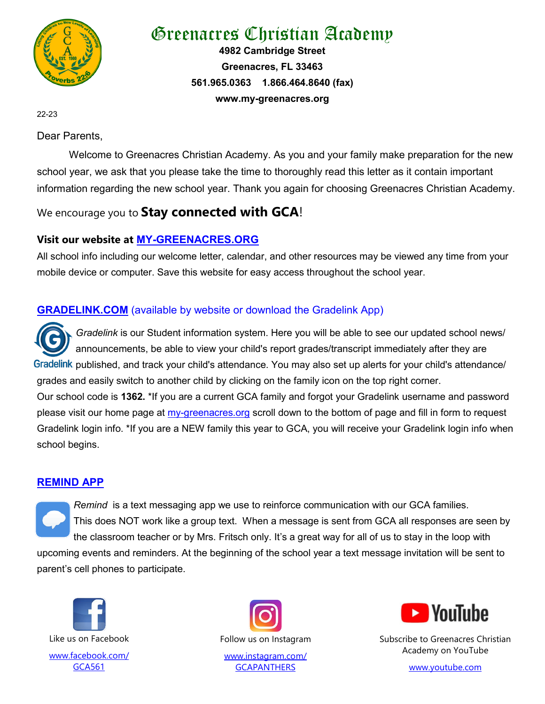

# Greenacres Christian Academy

**4982 Cambridge Street Greenacres, FL 33463 561.965.0363 1.866.464.8640 (fax) www.my-greenacres.org**

22-23

Dear Parents,

Welcome to Greenacres Christian Academy. As you and your family make preparation for the new school year, we ask that you please take the time to thoroughly read this letter as it contain important information regarding the new school year. Thank you again for choosing Greenacres Christian Academy.

## We encourage you to **Stay connected with GCA**!

## **Visit our website at MY-[GREENACRES.ORG](https://www.my-greenacres.org/)**

All school info including our welcome letter, calendar, and other resources may be viewed any time from your mobile device or computer. Save this website for easy access throughout the school year.

## **[GRADELINK.COM](https://www.gradelink.com/)** (available by website or download the Gradelink App)

*Gradelink* is our Student information system. Here you will be able to see our updated school news/ announcements, be able to view your child's report grades/transcript immediately after they are Gradelink published, and track your child's attendance. You may also set up alerts for your child's attendance/ grades and easily switch to another child by clicking on the family icon on the top right corner. Our school code is **1362.** \*If you are a current GCA family and forgot your Gradelink username and password please visit our home page at my-[greenacres.org](http://www.my-greenacres.org) scroll down to the bottom of page and fill in form to request Gradelink login info. \*If you are a NEW family this year to GCA, you will receive your Gradelink login info when school begins.

### **[REMIND APP](https://www.remind.com/)**

*Remind* is a text messaging app we use to reinforce communication with our GCA families. This does NOT work like a group text. When a message is sent from GCA all responses are seen by the classroom teacher or by Mrs. Fritsch only. It's a great way for all of us to stay in the loop with upcoming events and reminders. At the beginning of the school year a text message invitation will be sent to parent's cell phones to participate.





[www.instagram.com/](https://www.instagram.com/gcapanthers/) **[GCAPANTHERS](https://www.instagram.com/gcapanthers/)** 



Subscribe to Greenacres Christian Academy on YouTube

[www.youtube.com](https://www.youtube.com/channel/UC5LwwU4bopyhjcgcBlzlm1g)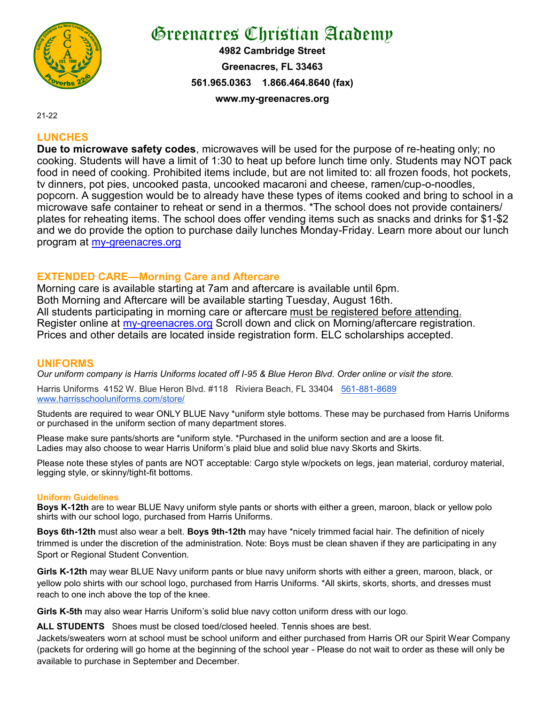

# Greenacres Christian Academy

**4982 Cambridge Street Greenacres, FL 33463 561.965.0363 1.866.464.8640 (fax) www.my-greenacres.org**

21-22

### **LUNCHES**

**Due to microwave safety codes**, microwaves will be used for the purpose of re-heating only; no cooking. Students will have a limit of 1:30 to heat up before lunch time only. Students may NOT pack food in need of cooking. Prohibited items include, but are not limited to: all frozen foods, hot pockets, tv dinners, pot pies, uncooked pasta, uncooked macaroni and cheese, ramen/cup-o-noodles, popcorn. A suggestion would be to already have these types of items cooked and bring to school in a microwave safe container to reheat or send in a thermos. \*The school does not provide containers/ plates for reheating items. The school does offer vending items such as snacks and drinks for \$1-\$2 and we do provide the option to purchase daily lunches Monday-Friday. Learn more about our lunch program at my-[greenacres.org](http://www.my-greenacres.org) 

### **EXTENDED CARE—Morning Care and Aftercare**

Morning care is available starting at 7am and aftercare is available until 6pm. Both Morning and Aftercare will be available starting Tuesday, August 16th. All students participating in morning care or aftercare must be registered before attending. Register online at my-[greenacres.org](http://www.my-greenacres.org) Scroll down and click on Morning/aftercare registration. Prices and other details are located inside registration form. ELC scholarships accepted.

#### **UNIFORMS**

*Our uniform company is Harris Uniforms located off I-95 & Blue Heron Blvd. Order online or visit the store.*

Harris Uniforms 4152 W. Blue Heron Blvd. #118 Riviera Beach, FL 33404 561-881-[8689](tel:561-881-8689)  [www.harrisschooluniforms.com/store/](http://www.harrisschooluniforms.com/store/)

Students are required to wear ONLY BLUE Navy \*uniform style bottoms. These may be purchased from Harris Uniforms or purchased in the uniform section of many department stores.

Please make sure pants/shorts are \*uniform style. \*Purchased in the uniform section and are a loose fit. Ladies may also choose to wear Harris Uniform's plaid blue and solid blue navy Skorts and Skirts.

Please note these styles of pants are NOT acceptable: Cargo style w/pockets on legs, jean material, corduroy material, legging style, or skinny/tight-fit bottoms.

#### **Uniform Guidelines**

**Boys K-12th** are to wear BLUE Navy uniform style pants or shorts with either a green, maroon, black or yellow polo shirts with our school logo, purchased from Harris Uniforms.

**Boys 6th-12th** must also wear a belt. **Boys 9th-12th** may have \*nicely trimmed facial hair. The definition of nicely trimmed is under the discretion of the administration. Note: Boys must be clean shaven if they are participating in any Sport or Regional Student Convention.

**Girls K-12th** may wear BLUE Navy uniform pants or blue navy uniform shorts with either a green, maroon, black, or yellow polo shirts with our school logo, purchased from Harris Uniforms. \*All skirts, skorts, shorts, and dresses must reach to one inch above the top of the knee.

**Girls K-5th** may also wear Harris Uniform's solid blue navy cotton uniform dress with our logo.

**ALL STUDENTS** Shoes must be closed toed/closed heeled. Tennis shoes are best.

Jackets/sweaters worn at school must be school uniform and either purchased from Harris OR our Spirit Wear Company (packets for ordering will go home at the beginning of the school year - Please do not wait to order as these will only be available to purchase in September and December.